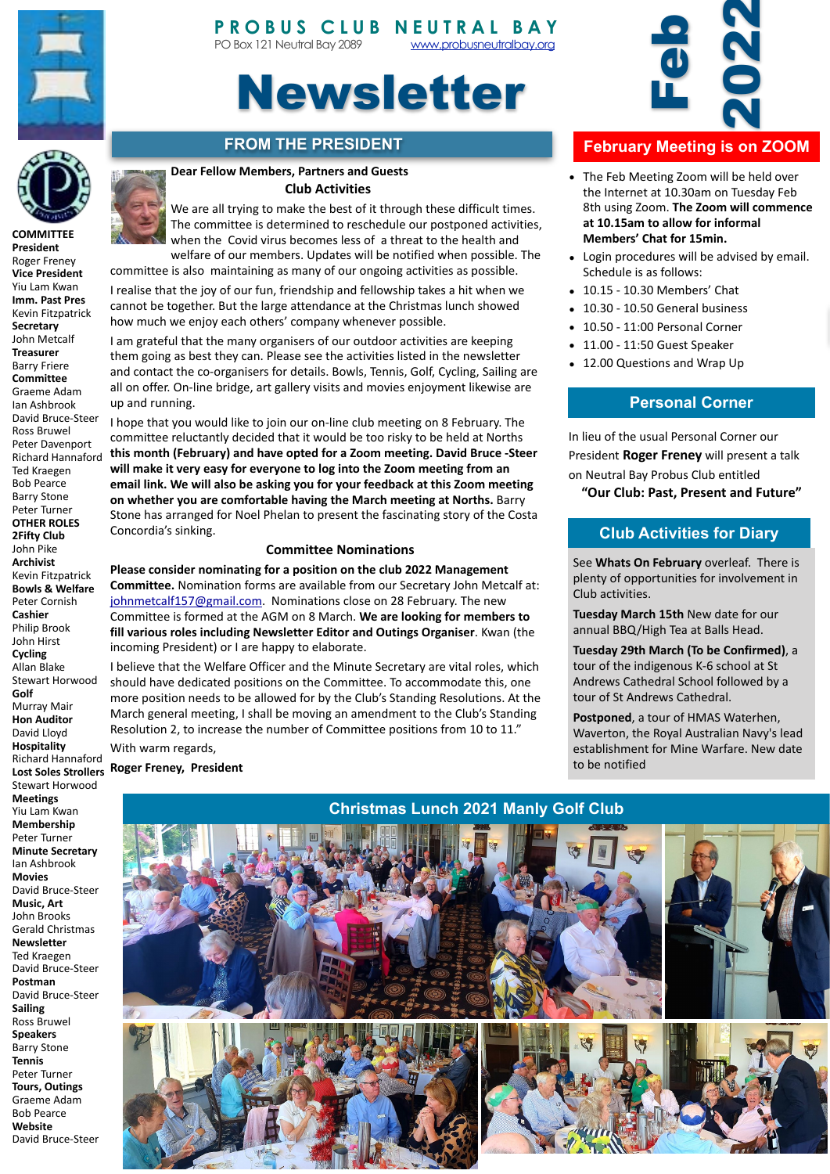

**COMMITTEE President**



# Newsletter

# **FROM THE PRESIDENT**

#### **Dear Fellow Members, Partners and Guests Club Activities**

The committee is determined to reschedule our postponed activities, when the Covid virus becomes less of a threat to the health and welfare of our members. Updates will be notified when possible. The committee is also maintaining as many of our ongoing activities as possible.

We are all trying to make the best of it through these difficult times.

I realise that the joy of our fun, friendship and fellowship takes a hit when we cannot be together. But the large attendance at the Christmas lunch showed how much we enjoy each others' company whenever possible.

I am grateful that the many organisers of our outdoor activities are keeping them going as best they can. Please see the activities listed in the newsletter and contact the co-organisers for details. Bowls, Tennis, Golf, Cycling, Sailing are all on offer. On-line bridge, art gallery visits and movies enjoyment likewise are up and running.

I hope that you would like to join our on-line club meeting on 8 February. The committee reluctantly decided that it would be too risky to be held at Norths this month (February) and have opted for a Zoom meeting. David Bruce -Steer will make it very easy for everyone to log into the Zoom meeting from an email link. We will also be asking you for your feedback at this Zoom meeting on whether you are comfortable having the March meeting at Norths. Barry Stone has arranged for Noel Phelan to present the fascinating story of the Costa Concordia's sinking.

#### **Committee Nominations**

Please consider nominating for a position on the club 2022 Management **Committee.** Nomination forms are available from our Secretary John Metcalf at: [johnmetcalf157@gmail.com.](mailto:johnmetcalf157@gmail.com) Nominations close on 28 February. The new Committee is formed at the AGM on 8 March. We are looking for members to fill various roles including Newsletter Editor and Outings Organiser. Kwan (the incoming President) or I are happy to elaborate.

I believe that the Welfare Officer and the Minute Secretary are vital roles, which should have dedicated positions on the Committee. To accommodate this, one more position needs to be allowed for by the Club's Standing Resolutions. At the March general meeting, I shall be moving an amendment to the Club's Standing Resolution 2, to increase the number of Committee positions from 10 to 11."

With warm regards,

**Roger Freney, President** 



# **February Meeting is on ZOOM**

- The Feb Meeting Zoom will be held over the Internet at 10.30am on Tuesday Feb 8th using Zoom. The Zoom will commence at 10.15am to allow for informal **Members' Chat for 15min.**
- Login procedures will be advised by email. Schedule is as follows:
- 10.15 10.30 Members' Chat
- 10.30 10.50 General business
- 10.50 - 11:00 Personal Corner
- $\bullet$  11.00 11:50 Guest Speaker
- 12.00 Questions and Wrap Up

#### **Personal Corner**

In lieu of the usual Personal Corner our President **Roger Freney** will present a talk on Neutral Bay Probus Club entitled

### **Club Activities for Diary**

See **Whats On February** overleaf. There is plenty of opportunities for involvement in Club activities.

**Tuesday March 15th New date for our** annual BBQ/High Tea at Balls Head.

**Tuesday 29th March (To be Confirmed)**, a tour of the indigenous K-6 school at St Andrews Cathedral School followed by a tour of St Andrews Cathedral.

**Postponed**, a tour of HMAS Waterhen, Waverton, the Royal Australian Navy's lead establishment for Mine Warfare. New date to be notified

## **Christmas Lunch 2021 Manly Golf Club**





Roger Freney **Vice President** Yiu Lam Kwan **Imm. Past Pres** Kevin Fitzpatrick **Secretary** John Metcalf **Treasurer** Barry Friere **Committee** Graeme Adam Ian Ashbrook David Bruce-Steer Ross Bruwel Peter Davenport Richard Hannaford Ted Kraegen Bob Pearce Barry Stone Peter Turner **OTHER ROLES 2Fifty Club** John Pike **Archivist**  Kevin Fitzpatrick **Bowls & Welfare** Peter Cornish **Cashier** Philip Brook John Hirst **Cycling** Allan Blake Stewart Horwood **Golf** Murray Mair **Hon Auditor** David Lloyd **Hospitality** Richard Hannaford Stewart Horwood **Meetings** Yiu Lam Kwan **Membership** Peter Turner **Minute Secretary** Ian Ashbrook **Movies** David Bruce-Steer **Music, Art** John Brooks Gerald Christmas **Newsletter** Ted Kraegen David Bruce-Steer **Postman** David Bruce-Steer **Sailing** Ross Bruwel **Speakers Barry Stone Tennis** Peter Turner **Tours, Outings** Graeme Adam Bob Pearce **Website**